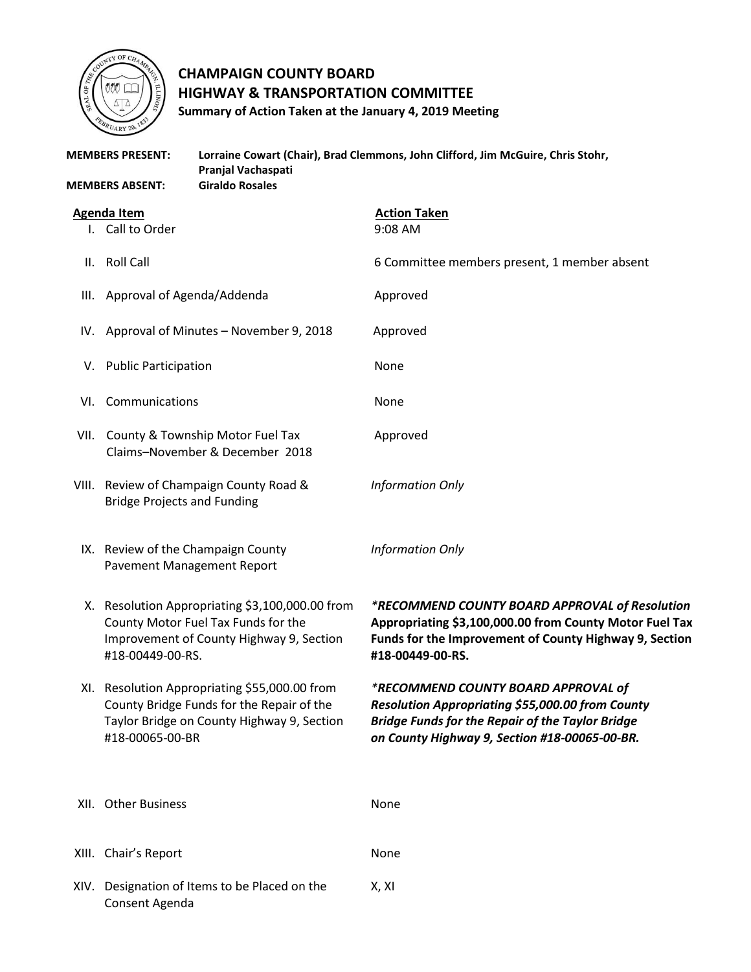

Consent Agenda

## **CHAMPAIGN COUNTY BOARD HIGHWAY & TRANSPORTATION COMMITTEE Summary of Action Taken at the January 4, 2019 Meeting**

| <b>MEMBERS PRESENT:</b> |                                                                                                                                                             | Lorraine Cowart (Chair), Brad Clemmons, John Clifford, Jim McGuire, Chris Stohr,<br>Pranjal Vachaspati |                                                                                                                                                                                                     |
|-------------------------|-------------------------------------------------------------------------------------------------------------------------------------------------------------|--------------------------------------------------------------------------------------------------------|-----------------------------------------------------------------------------------------------------------------------------------------------------------------------------------------------------|
| <b>MEMBERS ABSENT:</b>  |                                                                                                                                                             | <b>Giraldo Rosales</b>                                                                                 |                                                                                                                                                                                                     |
| <b>Agenda Item</b>      |                                                                                                                                                             |                                                                                                        | <b>Action Taken</b>                                                                                                                                                                                 |
|                         | I. Call to Order                                                                                                                                            |                                                                                                        | 9:08 AM                                                                                                                                                                                             |
| Ш.                      | <b>Roll Call</b>                                                                                                                                            |                                                                                                        | 6 Committee members present, 1 member absent                                                                                                                                                        |
| III.                    | Approval of Agenda/Addenda                                                                                                                                  |                                                                                                        | Approved                                                                                                                                                                                            |
| IV.                     | Approval of Minutes - November 9, 2018                                                                                                                      |                                                                                                        | Approved                                                                                                                                                                                            |
|                         | V. Public Participation                                                                                                                                     |                                                                                                        | None                                                                                                                                                                                                |
| VI.                     | Communications                                                                                                                                              |                                                                                                        | None                                                                                                                                                                                                |
|                         | VII. County & Township Motor Fuel Tax<br>Claims-November & December 2018                                                                                    |                                                                                                        | Approved                                                                                                                                                                                            |
|                         | VIII. Review of Champaign County Road &<br><b>Bridge Projects and Funding</b>                                                                               |                                                                                                        | <b>Information Only</b>                                                                                                                                                                             |
|                         | IX. Review of the Champaign County<br>Pavement Management Report                                                                                            |                                                                                                        | <b>Information Only</b>                                                                                                                                                                             |
|                         | X. Resolution Appropriating \$3,100,000.00 from<br>County Motor Fuel Tax Funds for the<br>Improvement of County Highway 9, Section<br>#18-00449-00-RS.      |                                                                                                        | *RECOMMEND COUNTY BOARD APPROVAL of Resolution<br>Appropriating \$3,100,000.00 from County Motor Fuel Tax<br>Funds for the Improvement of County Highway 9, Section<br>#18-00449-00-RS.             |
|                         | XI. Resolution Appropriating \$55,000.00 from<br>County Bridge Funds for the Repair of the<br>Taylor Bridge on County Highway 9, Section<br>#18-00065-00-BR |                                                                                                        | *RECOMMEND COUNTY BOARD APPROVAL of<br>Resolution Appropriating \$55,000.00 from County<br><b>Bridge Funds for the Repair of the Taylor Bridge</b><br>on County Highway 9, Section #18-00065-00-BR. |
|                         | XII. Other Business                                                                                                                                         |                                                                                                        | None                                                                                                                                                                                                |
|                         | XIII. Chair's Report                                                                                                                                        |                                                                                                        | None                                                                                                                                                                                                |
|                         |                                                                                                                                                             | XIV. Designation of Items to be Placed on the                                                          | X, XI                                                                                                                                                                                               |